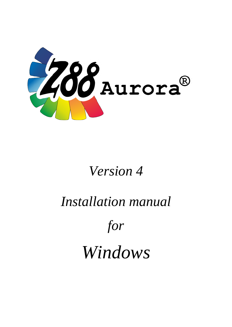

# *Version 4*

# *Installation manual*

*for*

*Windows*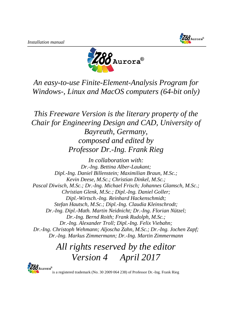



*An easy-to-use Finite-Element-Analysis Program for Windows-, Linux and MacOS computers (64-bit only)*

*This Freeware Version is the literary property of the Chair for Engineering Design and CAD, University of Bayreuth, Germany, composed and edited by Professor Dr.-Ing. Frank Rieg*

*In collaboration with: Dr.-Ing. Bettina Alber-Laukant; Dipl.-Ing. Daniel Billenstein; Maximilian Braun, M.Sc.; Kevin Deese, M.Sc.; Christian Dinkel, M.Sc.; Pascal Diwisch, M.Sc.; Dr.-Ing. Michael Frisch; Johannes Glamsch, M.Sc.; Christian Glenk, M.Sc.; Dipl.-Ing. Daniel Goller; Dipl.-Wirtsch.-Ing. Reinhard Hackenschmidt; Stefan Hautsch, M.Sc.; Dipl.-Ing. Claudia Kleinschrodt; Dr.-Ing. Dipl.-Math. Martin Neidnicht; Dr.-Ing. Florian Nützel; Dr.-Ing. Bernd Roith; Frank Rudolph, M.Sc.; Dr.-Ing. Alexander Troll; Dipl.-Ing. Felix Viebahn; Dr.-Ing. Christoph Wehmann; Aljoscha Zahn, M.Sc.; Dr.-Ing. Jochen Zapf; Dr.-Ing. Markus Zimmermann; Dr.-Ing. Martin Zimmermann*

# *All rights reserved by the editor Version 4 April 2017*



is a registered trademark (No. 30 2009 064 238) of Professor Dr.-Ing. Frank Rieg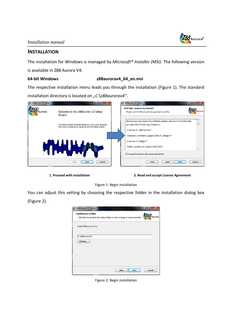

# **INSTALLATION**

The installation for Windows is managed by *Microsoft® Installer (MSI)*. The following version

is available in Z88 Aurora V4:

## **64-bit Windows z88aurorav4\_64\_en.msi**

The respective installation menu leads you through the installation (Figure 1). The standard installation directory is located on *"C:\z88aurorav4"*.



**1. Proceed with installation 2. Read and accept License Agreement**



You can adjust this setting by choosing the respective folder in the installation dialog box (Figure 2).



Figure 2: Begin installation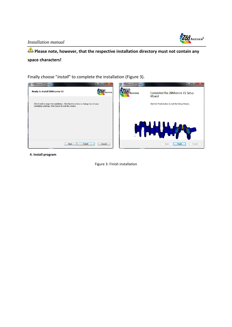*Installation manual*



# **Please note, however, that the respective installation directory must not contain any space characters!**

Finally choose "*install*" to complete the installation (Figure 3).



**4. Install program**

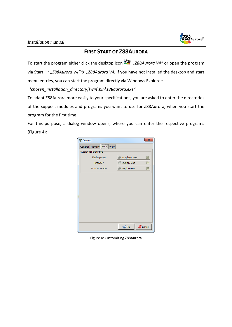

# **FIRST START OF Z88AURORA**

To start the program either click the desktop icon "*Z88Aurora V4"* or open the program via Start → *"Z88Aurora V4" "Z88Aurora V4.* If you have not installed the desktop and start menu entries, you can start the program directly via Windows Explorer:

*"[chosen\_installation\_directory]\win\bin\z88aurora.exe".*

To adapt Z88Aurora more easily to your specifications, you are asked to enter the directories of the support modules and programs you want to use for Z88Aurora, when you start the program for the first time.

For this purpose, a dialog window opens, where you can enter the respective programs (Figure 4):



Figure 4: Customizing Z88Aurora